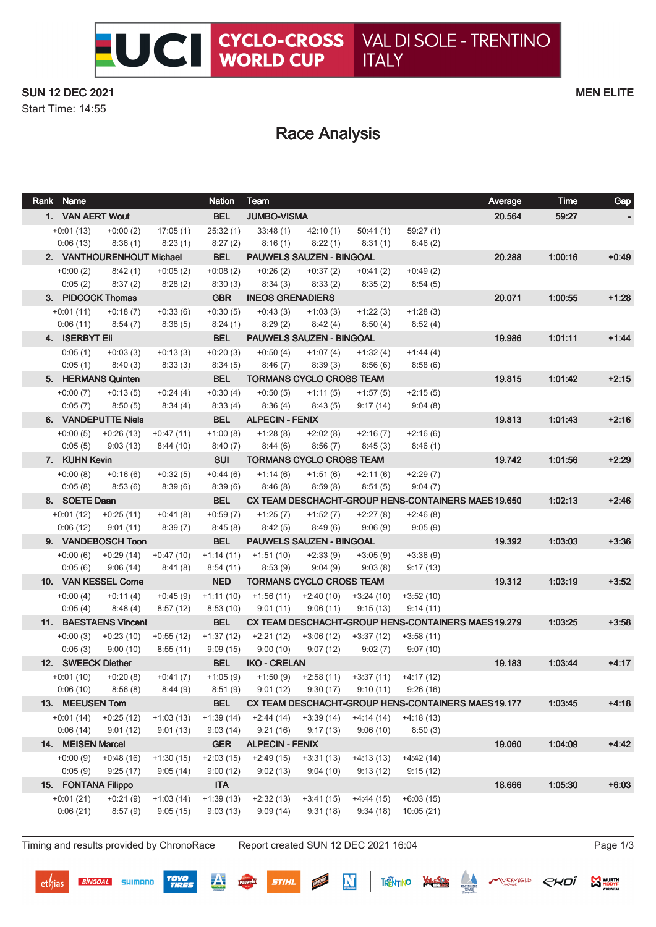## SUN 12 DEC 2021 MEN ELITE

Start Time: 14:55

# Race Analysis

| Rank Name               |                                |                       | <b>Nation</b>         | Team                                       |                       |                                                |                        | Average                                             | Time    | Gap     |
|-------------------------|--------------------------------|-----------------------|-----------------------|--------------------------------------------|-----------------------|------------------------------------------------|------------------------|-----------------------------------------------------|---------|---------|
| 1. VAN AERT Wout        |                                |                       | <b>BEL</b>            | <b>JUMBO-VISMA</b>                         |                       |                                                |                        | 20.564                                              | 59:27   |         |
| $+0:01(13)$             | $+0:00(2)$                     | 17:05(1)              | 25:32(1)              | 33:48(1)                                   | 42:10(1)              | 50:41(1)                                       | 59:27(1)               |                                                     |         |         |
| 0:06(13)                | 8:36(1)                        | 8:23(1)               | 8:27(2)               | 8:16(1)                                    | 8:22(1)               | 8:31(1)                                        | 8:46(2)                |                                                     |         |         |
|                         | 2. VANTHOURENHOUT Michael      |                       | <b>BEL</b>            | <b>PAUWELS SAUZEN - BINGOAL</b>            |                       |                                                |                        | 20.288                                              | 1:00:16 | $+0.49$ |
| $+0:00(2)$              | 8:42(1)                        | $+0.05(2)$            | $+0:08(2)$            | $+0.26(2)$                                 | $+0:37(2)$            | $+0:41(2)$                                     | $+0:49(2)$             |                                                     |         |         |
| 0:05(2)                 | 8:37(2)                        | 8:28(2)               | 8:30(3)               | 8:34(3)                                    | 8:33(2)               | 8:35(2)                                        | 8:54(5)                |                                                     |         |         |
|                         | 3. PIDCOCK Thomas              |                       | <b>GBR</b>            | <b>INEOS GRENADIERS</b>                    |                       |                                                |                        | 20.071                                              | 1:00:55 | $+1:28$ |
| $+0:01(11)$             | $+0:18(7)$                     | $+0:33(6)$            | $+0:30(5)$            | $+0.43(3)$                                 | $+1:03(3)$            | $+1:22(3)$                                     | $+1:28(3)$             |                                                     |         |         |
| 0:06(11)                | 8:54(7)                        | 8:38(5)               | 8:24(1)               | 8:29(2)                                    | 8:42 (4)              | 8:50 (4)                                       | 8:52(4)                |                                                     |         |         |
| 4. ISERBYT Eli          |                                |                       | <b>BEL</b>            | <b>PAUWELS SAUZEN - BINGOAL</b>            |                       |                                                |                        | 19.986                                              | 1:01:11 | $+1:44$ |
| 0:05(1)                 | $+0:03(3)$                     | $+0:13(3)$            | $+0:20(3)$            | +0:50 (4)                                  | +1:07 (4)             | $+1:32(4)$                                     | $+1:44(4)$             |                                                     |         |         |
| 0:05(1)                 | 8:40(3)                        | 8:33(3)               | 8:34(5)               | 8:46(7)                                    | 8:39(3)               | 8:56 (6)                                       | 8:58(6)                |                                                     |         |         |
|                         | 5. HERMANS Quinten             |                       | <b>BEL</b>            | <b>TORMANS CYCLO CROSS TEAM</b>            |                       |                                                |                        | 19.815                                              | 1:01:42 | $+2:15$ |
| $+0:00(7)$              | $+0:13(5)$                     | $+0:24(4)$            | $+0:30(4)$            | $+0:50(5)$                                 | $+1:11(5)$            | $+1:57(5)$                                     | $+2:15(5)$             |                                                     |         |         |
| 0:05(7)                 | 8:50(5)                        | 8:34 (4)              | 8:33(4)               | 8:36(4)                                    | 8:43 (5)              | 9:17(14)                                       | 9:04(8)                |                                                     |         |         |
|                         | 6. VANDEPUTTE Niels            |                       | <b>BEL</b>            | <b>ALPECIN - FENIX</b>                     |                       |                                                |                        | 19.813                                              | 1.01.43 | $+2:16$ |
|                         | $+0:00(5)$ $+0:26(13)$         | $+0:47(11)$           | $+1:00(8)$            | +1:28 (8)                                  | +2:02 (8)             | +2:16 (7)                                      | $+2:16(6)$             |                                                     |         |         |
|                         | $0:05(5)$ $9:03(13)$           | 8:44(10)              | 8:40(7)               | 8:44 (6)                                   | 8:56 (7)              | 8:45(3)                                        | 8:46(1)                |                                                     |         |         |
| 7. KUHN Kevin           |                                |                       | <b>SUI</b>            | <b>TORMANS CYCLO CROSS TEAM</b>            |                       |                                                |                        | 19.742                                              | 1:01:56 | $+2:29$ |
| $+0:00(8)$              | $+0:16(6)$                     | $+0.32(5)$            | $+0.44(6)$            | +1:14 (6)                                  | +1:51 (6)             | $+2:11(6)$                                     | $+2:29(7)$             |                                                     |         |         |
| 0:05(8)                 | 8:53 (6)                       | 8:39(6)               | 8:39(6)               | 8:46(8)                                    | 8:59(8)               | 8:51(5)                                        | 9:04(7)                |                                                     |         |         |
| 8. SOETE Daan           |                                |                       | <b>BEL</b>            |                                            |                       |                                                |                        | CX TEAM DESCHACHT-GROUP HENS-CONTAINERS MAES 19.650 | 1:02:13 | $+2:46$ |
| $+0:01(12)$<br>0:06(12) | +0:25 (11)                     | $+0:41(8)$            | $+0.59(7)$<br>8:45(8) | $+1:25(7)$                                 | $+1:52(7)$<br>8:49(6) | $+2:27(8)$                                     | $+2:46(8)$             |                                                     |         |         |
|                         | 9:01(11)<br>9. VANDEBOSCH Toon | 8:39(7)               | <b>BEL</b>            | 8:42(5)<br><b>PAUWELS SAUZEN - BINGOAL</b> |                       | 9:06(9)                                        | 9:05(9)                | 19.392                                              | 1:03:03 | $+3:36$ |
|                         | $+0:00(6)$ $+0:29(14)$         |                       |                       | $+1:14(11)$ $+1:51(10)$                    | $+2:33(9)$            |                                                |                        |                                                     |         |         |
| 0:05(6)                 | 9:06(14)                       | +0:47 (10)<br>8:41(8) | 8:54(11)              | 8:53(9)                                    | 9:04(9)               | $+3:05(9)$<br>9:03(8)                          | $+3:36(9)$<br>9:17(13) |                                                     |         |         |
|                         | 10. VAN KESSEL Corne           |                       | <b>NED</b>            | TORMANS CYCLO CROSS TEAM                   |                       |                                                |                        | 19.312                                              | 1.03.19 | $+3:52$ |
| $+0:00(4)$              | $+0:11(4)$                     | $+0.45(9)$            | $+1:11(10)$           | +1:56 (11)                                 | +2:40 (10)            | +3:24 (10)                                     | $+3:52(10)$            |                                                     |         |         |
| 0:05(4)                 | 8:48(4)                        | 8:57(12)              | 8:53(10)              | 9:01(11)                                   | 9:06(11)              | 9:15(13)                                       | 9:14(11)               |                                                     |         |         |
|                         | 11. BAESTAENS Vincent          |                       | <b>BEL</b>            |                                            |                       |                                                |                        | CX TEAM DESCHACHT-GROUP HENS-CONTAINERS MAES 19.279 | 1.03.25 | $+3:58$ |
| $+0:00(3)$              | $+0:23(10)$                    | $+0:55(12)$           | $+1:37(12)$           | $+2:21(12)$                                | +3:06 (12)            | $+3:37(12)$ $+3:58(11)$                        |                        |                                                     |         |         |
| 0:05(3)                 | 9:00(10)                       | 8:55(11)              | 9:09(15)              | 9:00(10)                                   | $9:07(12)$ $9:02(7)$  |                                                | 9:07(10)               |                                                     |         |         |
| 12. SWEECK Diether      |                                |                       | <b>BEL</b>            | <b>IKO - CRELAN</b>                        |                       |                                                |                        | 19.183                                              | 1.03.44 | $+4:17$ |
| $+0:01(10)$             | $+0:20(8)$                     | $+0:41(7)$            | $+1:05(9)$            |                                            |                       | $+1:50(9)$ $+2:58(11)$ $+3:37(11)$ $+4:17(12)$ |                        |                                                     |         |         |
|                         | $0:06(10)$ $8:56(8)$           | 8:44(9)               |                       | 8:51 (9) 9:01 (12) 9:30 (17) 9:10 (11)     |                       |                                                | 9:26(16)               |                                                     |         |         |
| 13. MEEUSEN Tom         |                                |                       | <b>BEL</b>            |                                            |                       |                                                |                        | CX TEAM DESCHACHT-GROUP HENS-CONTAINERS MAES 19.177 | 1:03:45 | $+4:18$ |
| +0:01 (14)              | $+0:25(12)$                    | $+1:03(13)$           | $+1:39(14)$           | $+2:44(14)$                                | $+3:39(14)$           | $+4:14(14)$                                    | $+4:18(13)$            |                                                     |         |         |
| 0:06(14)                | 9:01(12)                       | 9:01(13)              | 9:03(14)              | 9:21(16)                                   | 9:17(13)              | 9:06(10)                                       | 8:50(3)                |                                                     |         |         |
| 14. MEISEN Marcel       |                                |                       | <b>GER</b>            | <b>ALPECIN - FENIX</b>                     |                       |                                                |                        | 19.060                                              | 1:04:09 | $+4.42$ |
| $+0:00(9)$              | $+0.48(16)$                    | $+1:30(15)$           | $+2:03(15)$           | $+2:49(15)$                                | $+3:31(13)$           | $+4:13(13)$                                    | $+4:42(14)$            |                                                     |         |         |
| 0:05(9)                 | 9:25(17)                       | 9:05(14)              | 9:00(12)              | 9:02(13)                                   | 9:04(10)              | 9:13(12)                                       | 9:15(12)               |                                                     |         |         |
| 15. FONTANA Filippo     |                                |                       | <b>ITA</b>            |                                            |                       |                                                |                        | 18.666                                              | 1:05:30 | $+6:03$ |
| $+0:01(21)$             | $+0:21(9)$                     | $+1:03(14)$           | $+1:39(13)$           | $+2:32(13)$                                | $+3:41(15)$           | $+4:44(15)$                                    | $+6:03(15)$            |                                                     |         |         |
| 0:06(21)                | 8:57(9)                        | 9:05(15)              | 9:03(13)              | 9:09(14)                                   | 9:31(18)              | 9:34(18)                                       | 10:05(21)              |                                                     |         |         |
|                         |                                |                       |                       |                                            |                       |                                                |                        |                                                     |         |         |

Timing and results provided by ChronoRace Report created SUN 12 DEC 2021 16:04 Page 1/3

**BINGOAL** SHIMANO

**TOYO**<br>TIRES

 $\overline{\mathbf{A}}$ 

 $\mathbf N$ 

**MARKAMT** 

**STIHL** 

**MANUAL MODYE** 

THENTINO VALUES CONTINUES CHOI

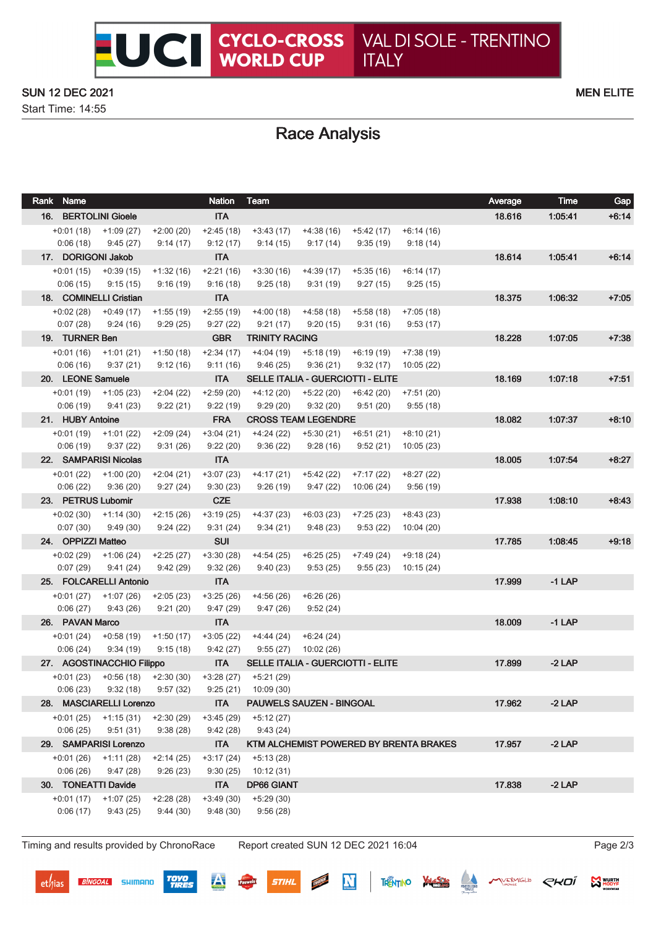## SUN 12 DEC 2021 MEN ELITE

Start Time: 14:55

# Race Analysis

| Rank Name               |                           |                         | <b>Nation</b>           | Team                       |                         |                                   |                                        | Average  | <b>Time</b> | Gap     |
|-------------------------|---------------------------|-------------------------|-------------------------|----------------------------|-------------------------|-----------------------------------|----------------------------------------|----------|-------------|---------|
|                         | 16. BERTOLINI Gioele      |                         | <b>ITA</b>              |                            |                         |                                   |                                        | 18.616   | 1.05.41     | $+6:14$ |
|                         | $+0.01(18) +1.09(27)$     | $+2:00(20)$             | $+2:45(18)$             | $+3:43(17)$                | $+4:38(16)$             | $+5:42(17)$                       | $+6:14(16)$                            |          |             |         |
| 0:06(18)                | 9:45(27)                  | 9:14(17)                | 9:12(17)                | 9:14(15)                   | 9:17(14)                | 9:35(19)                          | 9:18(14)                               |          |             |         |
| 17. DORIGONI Jakob      |                           |                         | <b>ITA</b>              |                            |                         |                                   |                                        | 18.614   | 1:05:41     | $+6:14$ |
| $+0:01(15)$             | $+0.39(15)$               | $+1:32(16)$             | $+2:21(16)$             | $+3:30(16)$                | $+4:39(17)$             | $+5:35(16)$                       | $+6:14(17)$                            |          |             |         |
| 0:06(15)                | 9:15(15)                  | 9:16(19)                | 9:16(18)                | 9:25(18)                   | 9:31(19)                | 9:27(15)                          | 9:25(15)                               |          |             |         |
|                         | 18. COMINELLI Cristian    |                         | <b>ITA</b>              |                            |                         |                                   |                                        | 18.375   | 1:06:32     | $+7:05$ |
| $+0.02(28)$             | $+0:49(17)$               | $+1:55(19)$             | $+2:55(19)$             | $+4:00(18)$                | +4:58 (18)              | $+5:58(18)$                       | $+7:05(18)$                            |          |             |         |
| 0:07(28)                | 9:24(16)                  | 9:29(25)                | 9:27(22)                | 9:21(17)                   | 9:20 (15)               | 9:31(16)                          | 9:53(17)                               |          |             |         |
| 19. TURNER Ben          |                           |                         | <b>GBR</b>              | <b>TRINITY RACING</b>      |                         |                                   |                                        | 18.228   | 1:07:05     | $+7:38$ |
|                         | $+0:01(16)$ $+1:01(21)$   | $+1:50(18)$             | $+2:34(17)$             | $+4:04(19)$                | +5:18 (19)              | $+6:19(19)$                       | $+7:38(19)$                            |          |             |         |
| 0:06(16)                | 9:37(21)                  | 9:12(16)                | 9:11(16)                | 9:46(25)                   | 9:36(21)                | 9:32(17)                          | 10:05(22)                              |          |             |         |
| 20. LEONE Samuele       |                           |                         | <b>ITA</b>              |                            |                         | SELLE ITALIA - GUERCIOTTI - ELITE |                                        | 18.169   | 1.07.18     | $+7:51$ |
| $+0:01(19)$<br>0:06(19) | +1:05 (23)<br>9:41(23)    | $+2:04(22)$<br>9:22(21) | $+2:59(20)$<br>9:22(19) | $+4:12(20)$<br>9:29(20)    | $+5:22(20)$<br>9:32(20) | $+6:42(20)$<br>9:51(20)           | $+7:51(20)$                            |          |             |         |
| 21. HUBY Antoine        |                           |                         | <b>FRA</b>              | <b>CROSS TEAM LEGENDRE</b> |                         |                                   | 9:55(18)                               | 18.082   | 1:07:37     | $+8:10$ |
|                         |                           | $+2:09(24)$             | $+3:04(21)$             | $+4:24(22)$                |                         |                                   |                                        |          |             |         |
| $+0:01(19)$<br>0:06(19) | $+1:01(22)$<br>9:37(22)   | 9:31(26)                | 9:22(20)                | 9:36(22)                   | $+5:30(21)$<br>9:28(16) | $+6:51(21)$<br>9:52(21)           | $+8:10(21)$<br>10:05(23)               |          |             |         |
|                         | 22. SAMPARISI Nicolas     |                         | <b>ITA</b>              |                            |                         |                                   |                                        | 18.005   | 1:07:54     | $+8:27$ |
| $+0:01(22)$             | +1:00 (20)                | $+2:04(21)$             | $+3:07(23)$             | $+4:17(21)$                | $+5:42(22)$             | $+7:17(22)$                       | $+8:27(22)$                            |          |             |         |
| 0:06(22)                | 9:36(20)                  | 9:27(24)                | 9:30(23)                | 9:26(19)                   | 9:47(22)                | 10:06(24)                         | 9:56(19)                               |          |             |         |
| 23. PETRUS Lubomir      |                           |                         | <b>CZE</b>              |                            |                         |                                   |                                        | 17.938   | 1:08:10     | $+8:43$ |
| $+0.02(30)$             | $+1:14(30)$               | $+2:15(26)$             | $+3:19(25)$             | $+4:37(23)$                | $+6:03(23)$             | $+7:25(23)$                       | $+8:43(23)$                            |          |             |         |
| 0:07(30)                | 9:49(30)                  | 9:24(22)                | 9:31(24)                | 9:34(21)                   | 9:48(23)                | 9:53(22)                          | 10:04(20)                              |          |             |         |
| 24. OPPIZZI Matteo      |                           |                         | <b>SUI</b>              |                            |                         |                                   |                                        | 17.785   | 1.08:45     | $+9:18$ |
| $+0.02(29)$             | $+1:06(24)$               | $+2:25(27)$             | $+3:30(28)$             | $+4:54(25)$                | $+6:25(25)$             | $+7:49(24)$                       | $+9:18(24)$                            |          |             |         |
| 0:07(29)                | 9:41(24)                  | 9:42(29)                | 9:32(26)                | 9:40(23)                   | 9:53(25)                | 9:55(23)                          | 10:15(24)                              |          |             |         |
|                         | 25. FOLCARELLI Antonio    |                         | <b>ITA</b>              |                            |                         |                                   |                                        | 17.999   | $-1$ LAP    |         |
| $+0:01(27)$             | +1:07 (26)                | $+2:05(23)$             | $+3:25(26)$             | $+4:56(26)$                | $+6:26(26)$             |                                   |                                        |          |             |         |
| 0:06(27)                | 9:43(26)                  | 9:21(20)                | 9:47(29)                | 9:47(26)                   | 9:52(24)                |                                   |                                        |          |             |         |
| 26. PAVAN Marco         |                           |                         | <b>ITA</b>              |                            |                         |                                   |                                        | 18.009   | $-1$ LAP    |         |
| $+0:01(24)$             | $+0.58(19)$               | $+1:50(17)$             | $+3:05(22)$             | $+4:44(24)$                | $+6:24(24)$             |                                   |                                        |          |             |         |
| 0:06(24)                | 9:34(19)                  | 9:15(18)                | 9:42(27)                | 9:55(27)                   | 10:02(26)               |                                   |                                        |          |             |         |
|                         | 27. AGOSTINACCHIO Filippo |                         | <b>ITA</b>              |                            |                         | SELLE ITALIA - GUERCIOTTI - ELITE | 17.899                                 | $-2$ LAP |             |         |
|                         | $+0.01(23)$ $+0.56(18)$   | $+2:30(30)$             | $+3:28(27)$             | $+5:21(29)$                |                         |                                   |                                        |          |             |         |
| 0:06(23)                | 9:32(18)                  | 9:57(32)                | 9:25(21)                | 10:09 (30)                 |                         |                                   |                                        |          |             |         |
|                         | 28. MASCIARELLI Lorenzo   |                         | <b>ITA</b>              | PAUWELS SAUZEN - BINGOAL   |                         |                                   |                                        | 17.962   | $-2$ LAP    |         |
|                         | $+0:01(25)$ $+1:15(31)$   | $+2:30(29)$             | $+3:45(29)$             | $+5:12(27)$                |                         |                                   |                                        |          |             |         |
| 0:06(25)                | 9:51(31)                  | 9:38(28)                | 9:42(28)                | 9:43(24)                   |                         |                                   |                                        |          |             |         |
|                         | 29. SAMPARISI Lorenzo     |                         | <b>ITA</b>              |                            |                         |                                   | KTM ALCHEMIST POWERED BY BRENTA BRAKES | 17.957   | $-2$ LAP    |         |
|                         | $+0.01(26)$ $+1.11(28)$   | $+2:14(25)$             | $+3:17(24)$             | $+5:13(28)$                |                         |                                   |                                        |          |             |         |
| 0:06(26)                | 9:47(28)                  | 9:26(23)                | 9:30(25)                | 10:12(31)                  |                         |                                   |                                        |          |             |         |
| 30. TONEATTI Davide     |                           |                         | <b>ITA</b>              | <b>DP66 GIANT</b>          |                         |                                   |                                        | 17.838   | $-2$ LAP    |         |
| $+0:01(17)$             | $+1:07(25)$               | $+2:28(28)$             | $+3:49(30)$             | $+5:29(30)$                |                         |                                   |                                        |          |             |         |
| 0:06(17)                | 9:43(25)                  | 9:44(30)                | 9:48(30)                | 9:56(28)                   |                         |                                   |                                        |          |             |         |

Timing and results provided by ChronoRace Report created SUN 12 DEC 2021 16:04 Page 2/3

**BINGOAL** SHIMANO

**TOYO**<br>TIRES

 $\overline{\mathbf{A}}$ 

 $\mathbf N$ 

**MARKAMT** 

**STIHL** 

**MANUAL MODYE** 

THENTINO VALUES CONTINUES CHOI